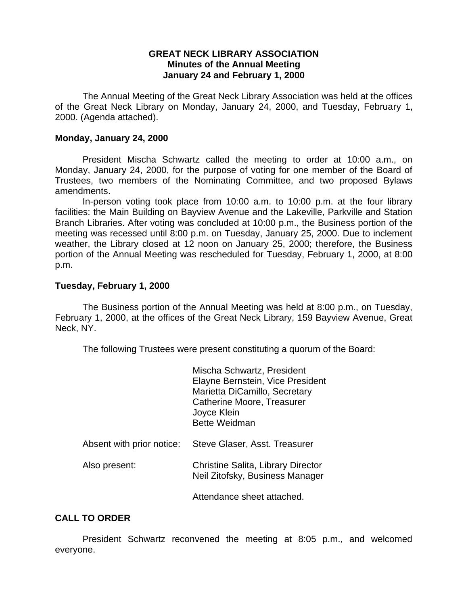### **GREAT NECK LIBRARY ASSOCIATION Minutes of the Annual Meeting January 24 and February 1, 2000**

The Annual Meeting of the Great Neck Library Association was held at the offices of the Great Neck Library on Monday, January 24, 2000, and Tuesday, February 1, 2000. (Agenda attached).

### **Monday, January 24, 2000**

President Mischa Schwartz called the meeting to order at 10:00 a.m., on Monday, January 24, 2000, for the purpose of voting for one member of the Board of Trustees, two members of the Nominating Committee, and two proposed Bylaws amendments.

In-person voting took place from 10:00 a.m. to 10:00 p.m. at the four library facilities: the Main Building on Bayview Avenue and the Lakeville, Parkville and Station Branch Libraries. After voting was concluded at 10:00 p.m., the Business portion of the meeting was recessed until 8:00 p.m. on Tuesday, January 25, 2000. Due to inclement weather, the Library closed at 12 noon on January 25, 2000; therefore, the Business portion of the Annual Meeting was rescheduled for Tuesday, February 1, 2000, at 8:00 p.m.

# **Tuesday, February 1, 2000**

The Business portion of the Annual Meeting was held at 8:00 p.m., on Tuesday, February 1, 2000, at the offices of the Great Neck Library, 159 Bayview Avenue, Great Neck, NY.

The following Trustees were present constituting a quorum of the Board:

|                           | Mischa Schwartz, President<br>Elayne Bernstein, Vice President<br>Marietta DiCamillo, Secretary<br>Catherine Moore, Treasurer<br>Joyce Klein<br><b>Bette Weidman</b> |
|---------------------------|----------------------------------------------------------------------------------------------------------------------------------------------------------------------|
| Absent with prior notice: | Steve Glaser, Asst. Treasurer                                                                                                                                        |
| Also present:             | Christine Salita, Library Director<br>Neil Zitofsky, Business Manager                                                                                                |
|                           | Attendance sheet attached.                                                                                                                                           |

# **CALL TO ORDER**

President Schwartz reconvened the meeting at 8:05 p.m., and welcomed everyone.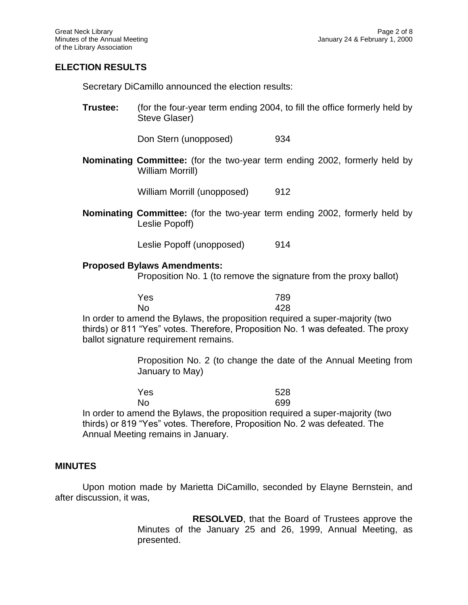# **ELECTION RESULTS**

Secretary DiCamillo announced the election results:

**Trustee:** (for the four-year term ending 2004, to fill the office formerly held by Steve Glaser)

Don Stern (unopposed) 934

**Nominating Committee:** (for the two-year term ending 2002, formerly held by William Morrill)

William Morrill (unopposed) 912

**Nominating Committee:** (for the two-year term ending 2002, formerly held by Leslie Popoff)

Leslie Popoff (unopposed) 914

#### **Proposed Bylaws Amendments:**

Proposition No. 1 (to remove the signature from the proxy ballot)

Yes 789

No 428 In order to amend the Bylaws, the proposition required a super-majority (two thirds) or 811 "Yes" votes. Therefore, Proposition No. 1 was defeated. The proxy ballot signature requirement remains.

> Proposition No. 2 (to change the date of the Annual Meeting from January to May)

| Yes | 528 |
|-----|-----|
| No  | 699 |

In order to amend the Bylaws, the proposition required a super-majority (two thirds) or 819 "Yes" votes. Therefore, Proposition No. 2 was defeated. The Annual Meeting remains in January.

#### **MINUTES**

Upon motion made by Marietta DiCamillo, seconded by Elayne Bernstein, and after discussion, it was,

> **RESOLVED**, that the Board of Trustees approve the Minutes of the January 25 and 26, 1999, Annual Meeting, as presented.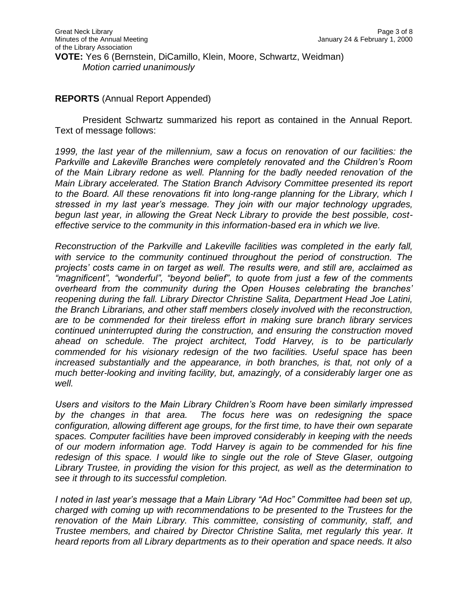### **REPORTS** (Annual Report Appended)

President Schwartz summarized his report as contained in the Annual Report. Text of message follows:

*1999, the last year of the millennium, saw a focus on renovation of our facilities: the Parkville and Lakeville Branches were completely renovated and the Children's Room of the Main Library redone as well. Planning for the badly needed renovation of the Main Library accelerated. The Station Branch Advisory Committee presented its report to the Board. All these renovations fit into long-range planning for the Library, which I stressed in my last year's message. They join with our major technology upgrades, begun last year, in allowing the Great Neck Library to provide the best possible, costeffective service to the community in this information-based era in which we live.*

*Reconstruction of the Parkville and Lakeville facilities was completed in the early fall, with service to the community continued throughout the period of construction. The projects' costs came in on target as well. The results were, and still are, acclaimed as "magnificent", "wonderful", "beyond belief", to quote from just a few of the comments overheard from the community during the Open Houses celebrating the branches' reopening during the fall. Library Director Christine Salita, Department Head Joe Latini, the Branch Librarians, and other staff members closely involved with the reconstruction, are to be commended for their tireless effort in making sure branch library services continued uninterrupted during the construction, and ensuring the construction moved ahead on schedule. The project architect, Todd Harvey, is to be particularly commended for his visionary redesign of the two facilities. Useful space has been increased substantially and the appearance, in both branches, is that, not only of a much better-looking and inviting facility, but, amazingly, of a considerably larger one as well.*

*Users and visitors to the Main Library Children's Room have been similarly impressed by the changes in that area. The focus here was on redesigning the space configuration, allowing different age groups, for the first time, to have their own separate spaces. Computer facilities have been improved considerably in keeping with the needs of our modern information age. Todd Harvey is again to be commended for his fine redesign of this space. I would like to single out the role of Steve Glaser, outgoing Library Trustee, in providing the vision for this project, as well as the determination to see it through to its successful completion.*

*I noted in last year's message that a Main Library "Ad Hoc" Committee had been set up, charged with coming up with recommendations to be presented to the Trustees for the renovation of the Main Library. This committee, consisting of community, staff, and Trustee members, and chaired by Director Christine Salita, met regularly this year. It heard reports from all Library departments as to their operation and space needs. It also*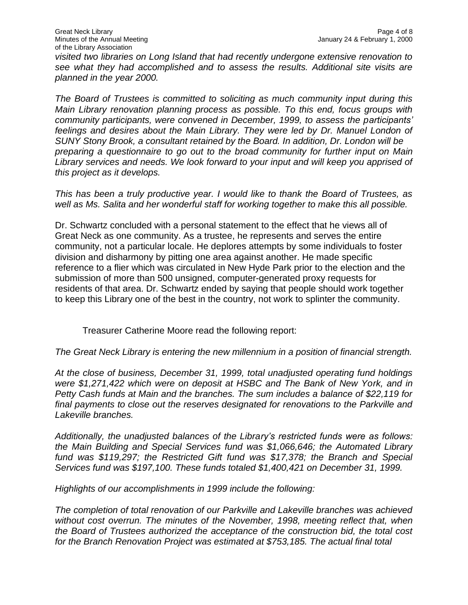*visited two libraries on Long Island that had recently undergone extensive renovation to see what they had accomplished and to assess the results. Additional site visits are planned in the year 2000.*

*The Board of Trustees is committed to soliciting as much community input during this Main Library renovation planning process as possible. To this end, focus groups with community participants, were convened in December, 1999, to assess the participants' feelings and desires about the Main Library. They were led by Dr. Manuel London of SUNY Stony Brook, a consultant retained by the Board. In addition, Dr. London will be preparing a questionnaire to go out to the broad community for further input on Main Library services and needs. We look forward to your input and will keep you apprised of this project as it develops.*

*This has been a truly productive year. I would like to thank the Board of Trustees, as well as Ms. Salita and her wonderful staff for working together to make this all possible.*

Dr. Schwartz concluded with a personal statement to the effect that he views all of Great Neck as one community. As a trustee, he represents and serves the entire community, not a particular locale. He deplores attempts by some individuals to foster division and disharmony by pitting one area against another. He made specific reference to a flier which was circulated in New Hyde Park prior to the election and the submission of more than 500 unsigned, computer-generated proxy requests for residents of that area. Dr. Schwartz ended by saying that people should work together to keep this Library one of the best in the country, not work to splinter the community.

Treasurer Catherine Moore read the following report:

*The Great Neck Library is entering the new millennium in a position of financial strength.*

*At the close of business, December 31, 1999, total unadjusted operating fund holdings were \$1,271,422 which were on deposit at HSBC and The Bank of New York, and in Petty Cash funds at Main and the branches. The sum includes a balance of \$22,119 for final payments to close out the reserves designated for renovations to the Parkville and Lakeville branches.*

*Additionally, the unadjusted balances of the Library's restricted funds were as follows: the Main Building and Special Services fund was \$1,066,646; the Automated Library fund was \$119,297; the Restricted Gift fund was \$17,378; the Branch and Special Services fund was \$197,100. These funds totaled \$1,400,421 on December 31, 1999.*

*Highlights of our accomplishments in 1999 include the following:*

*The completion of total renovation of our Parkville and Lakeville branches was achieved*  without cost overrun. The minutes of the November, 1998, meeting reflect that, when *the Board of Trustees authorized the acceptance of the construction bid, the total cost for the Branch Renovation Project was estimated at \$753,185. The actual final total*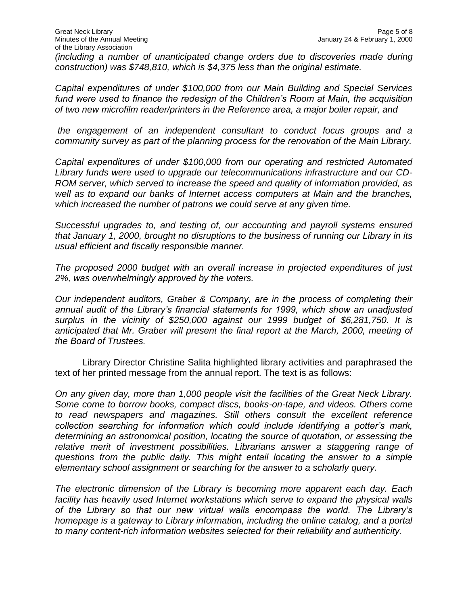*Capital expenditures of under \$100,000 from our Main Building and Special Services fund were used to finance the redesign of the Children's Room at Main, the acquisition of two new microfilm reader/printers in the Reference area, a major boiler repair, and*

*the engagement of an independent consultant to conduct focus groups and a community survey as part of the planning process for the renovation of the Main Library.*

*Capital expenditures of under \$100,000 from our operating and restricted Automated Library funds were used to upgrade our telecommunications infrastructure and our CD-ROM server, which served to increase the speed and quality of information provided, as well as to expand our banks of Internet access computers at Main and the branches, which increased the number of patrons we could serve at any given time.*

*Successful upgrades to, and testing of, our accounting and payroll systems ensured that January 1, 2000, brought no disruptions to the business of running our Library in its usual efficient and fiscally responsible manner.*

*The proposed 2000 budget with an overall increase in projected expenditures of just 2%, was overwhelmingly approved by the voters.*

*Our independent auditors, Graber & Company, are in the process of completing their annual audit of the Library's financial statements for 1999, which show an unadjusted surplus in the vicinity of \$250,000 against our 1999 budget of \$6,281,750. It is anticipated that Mr. Graber will present the final report at the March, 2000, meeting of the Board of Trustees.*

Library Director Christine Salita highlighted library activities and paraphrased the text of her printed message from the annual report. The text is as follows:

*On any given day, more than 1,000 people visit the facilities of the Great Neck Library. Some come to borrow books, compact discs, books-on-tape, and videos. Others come to read newspapers and magazines. Still others consult the excellent reference collection searching for information which could include identifying a potter's mark, determining an astronomical position, locating the source of quotation, or assessing the relative merit of investment possibilities. Librarians answer a staggering range of questions from the public daily. This might entail locating the answer to a simple elementary school assignment or searching for the answer to a scholarly query.*

*The electronic dimension of the Library is becoming more apparent each day. Each facility has heavily used Internet workstations which serve to expand the physical walls of the Library so that our new virtual walls encompass the world. The Library's homepage is a gateway to Library information, including the online catalog, and a portal to many content-rich information websites selected for their reliability and authenticity.*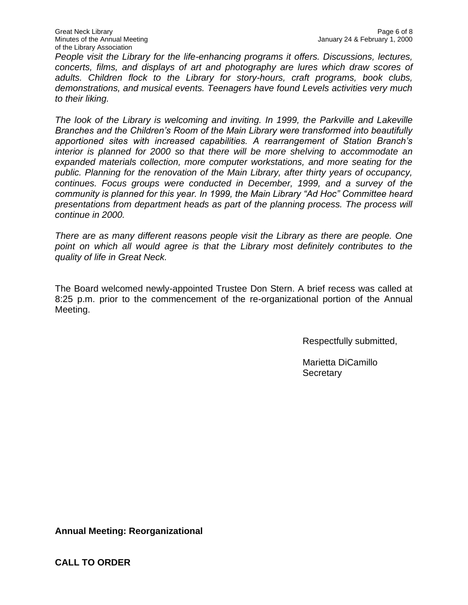*People visit the Library for the life-enhancing programs it offers. Discussions, lectures, concerts, films, and displays of art and photography are lures which draw scores of adults. Children flock to the Library for story-hours, craft programs, book clubs, demonstrations, and musical events. Teenagers have found Levels activities very much to their liking.*

*The look of the Library is welcoming and inviting. In 1999, the Parkville and Lakeville Branches and the Children's Room of the Main Library were transformed into beautifully apportioned sites with increased capabilities. A rearrangement of Station Branch's interior is planned for 2000 so that there will be more shelving to accommodate an expanded materials collection, more computer workstations, and more seating for the public. Planning for the renovation of the Main Library, after thirty years of occupancy, continues. Focus groups were conducted in December, 1999, and a survey of the community is planned for this year. In 1999, the Main Library "Ad Hoc" Committee heard presentations from department heads as part of the planning process. The process will continue in 2000.*

*There are as many different reasons people visit the Library as there are people. One*  point on which all would agree is that the Library most definitely contributes to the *quality of life in Great Neck.*

The Board welcomed newly-appointed Trustee Don Stern. A brief recess was called at 8:25 p.m. prior to the commencement of the re-organizational portion of the Annual Meeting.

Respectfully submitted,

Marietta DiCamillo **Secretary** 

**Annual Meeting: Reorganizational**

**CALL TO ORDER**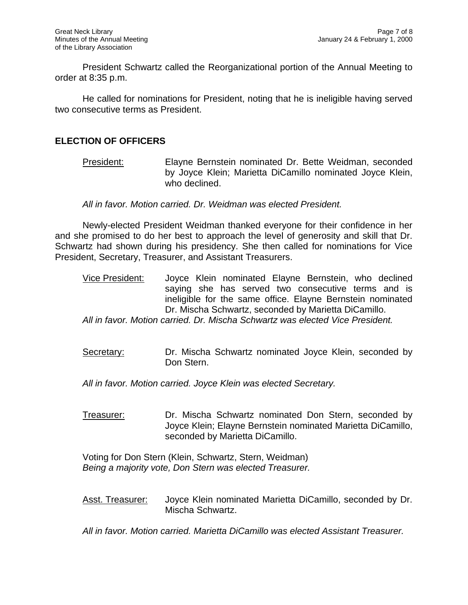President Schwartz called the Reorganizational portion of the Annual Meeting to order at 8:35 p.m.

He called for nominations for President, noting that he is ineligible having served two consecutive terms as President.

### **ELECTION OF OFFICERS**

President: Elayne Bernstein nominated Dr. Bette Weidman, seconded by Joyce Klein; Marietta DiCamillo nominated Joyce Klein, who declined.

*All in favor. Motion carried. Dr. Weidman was elected President.*

Newly-elected President Weidman thanked everyone for their confidence in her and she promised to do her best to approach the level of generosity and skill that Dr. Schwartz had shown during his presidency. She then called for nominations for Vice President, Secretary, Treasurer, and Assistant Treasurers.

Vice President: Joyce Klein nominated Elayne Bernstein, who declined saying she has served two consecutive terms and is ineligible for the same office. Elayne Bernstein nominated Dr. Mischa Schwartz, seconded by Marietta DiCamillo.

*All in favor. Motion carried. Dr. Mischa Schwartz was elected Vice President.*

Secretary: Dr. Mischa Schwartz nominated Joyce Klein, seconded by Don Stern.

*All in favor. Motion carried. Joyce Klein was elected Secretary.*

Treasurer: Dr. Mischa Schwartz nominated Don Stern, seconded by Joyce Klein; Elayne Bernstein nominated Marietta DiCamillo, seconded by Marietta DiCamillo.

Voting for Don Stern (Klein, Schwartz, Stern, Weidman) *Being a majority vote, Don Stern was elected Treasurer.*

Asst. Treasurer: Joyce Klein nominated Marietta DiCamillo, seconded by Dr. Mischa Schwartz.

*All in favor. Motion carried. Marietta DiCamillo was elected Assistant Treasurer.*